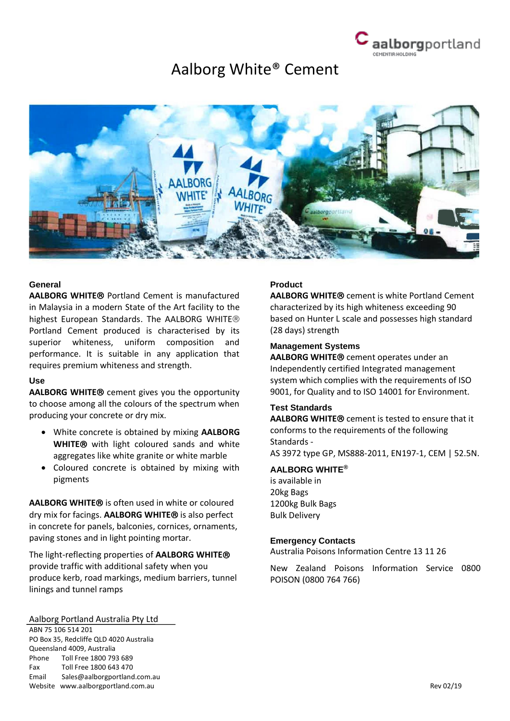

# Aalborg White® Cement



# **General**

**AALBORG WHITE® Portland Cement is manufactured** in Malaysia in a modern State of the Art facility to the highest European Standards. The AALBORG WHITE® Portland Cement produced is characterised by its superior whiteness, uniform composition and performance. It is suitable in any application that requires premium whiteness and strength.

#### **Use**

AALBORG WHITE<sup>®</sup> cement gives you the opportunity to choose among all the colours of the spectrum when producing your concrete or dry mix.

- White concrete is obtained by mixing **AALBORG WHITE**® with light coloured sands and white aggregates like white granite or white marble
- Coloured concrete is obtained by mixing with pigments

**AALBORG WHITE**® is often used in white or coloured dry mix for facings. AALBORG WHITE<sup>®</sup> is also perfect in concrete for panels, balconies, cornices, ornaments, paving stones and in light pointing mortar.

The light-reflecting properties of **AALBORG WHITE** provide traffic with additional safety when you produce kerb, road markings, medium barriers, tunnel linings and tunnel ramps

#### Aalborg Portland Australia Pty Ltd

ABN 75 106 514 201 PO Box 35, Redcliffe QLD 4020 Australia Queensland 4009, Australia Phone Toll Free 1800 793 689 Fax Toll Free 1800 643 470 Email Sales@aalborgportland.com.au Website www.aalborgportland.com.au Rev 02/19

#### **Product**

**AALBORG WHITE**® cement is white Portland Cement characterized by its high whiteness exceeding 90 based on Hunter L scale and possesses high standard (28 days) strength

#### **Management Systems**

**AALBORG WHITE®** cement operates under an Independently certified Integrated management system which complies with the requirements of ISO 9001, for Quality and to ISO 14001 for Environment.

# **Test Standards**

**AALBORG WHITE<sup>®</sup>** cement is tested to ensure that it conforms to the requirements of the following Standards - AS 3972 type GP, MS888-2011, EN197-1, CEM | 52.5N.

#### **AALBORG WHITE®**

is available in 20kg Bags 1200kg Bulk Bags Bulk Delivery

#### **Emergency Contacts**

Australia Poisons Information Centre 13 11 26

New Zealand Poisons Information Service 0800 POISON (0800 764 766)